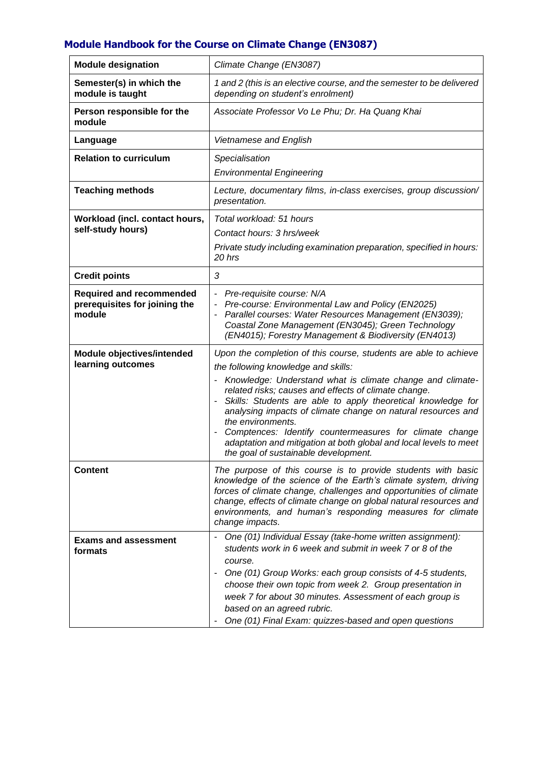## **Module Handbook for the Course on Climate Change (EN3087)**

| <b>Module designation</b>                                                  | Climate Change (EN3087)                                                                                                                                                                                                                                                                                                                                                                                                                                                                                                                                   |
|----------------------------------------------------------------------------|-----------------------------------------------------------------------------------------------------------------------------------------------------------------------------------------------------------------------------------------------------------------------------------------------------------------------------------------------------------------------------------------------------------------------------------------------------------------------------------------------------------------------------------------------------------|
| Semester(s) in which the<br>module is taught                               | 1 and 2 (this is an elective course, and the semester to be delivered<br>depending on student's enrolment)                                                                                                                                                                                                                                                                                                                                                                                                                                                |
| Person responsible for the<br>module                                       | Associate Professor Vo Le Phu; Dr. Ha Quang Khai                                                                                                                                                                                                                                                                                                                                                                                                                                                                                                          |
| Language                                                                   | Vietnamese and English                                                                                                                                                                                                                                                                                                                                                                                                                                                                                                                                    |
| <b>Relation to curriculum</b>                                              | Specialisation<br><b>Environmental Engineering</b>                                                                                                                                                                                                                                                                                                                                                                                                                                                                                                        |
| <b>Teaching methods</b>                                                    | Lecture, documentary films, in-class exercises, group discussion/<br>presentation.                                                                                                                                                                                                                                                                                                                                                                                                                                                                        |
| Workload (incl. contact hours,<br>self-study hours)                        | Total workload: 51 hours<br>Contact hours: 3 hrs/week<br>Private study including examination preparation, specified in hours:<br>20 hrs                                                                                                                                                                                                                                                                                                                                                                                                                   |
| <b>Credit points</b>                                                       | 3                                                                                                                                                                                                                                                                                                                                                                                                                                                                                                                                                         |
| <b>Required and recommended</b><br>prerequisites for joining the<br>module | Pre-requisite course: N/A<br>Pre-course: Environmental Law and Policy (EN2025)<br>$\overline{a}$<br>Parallel courses: Water Resources Management (EN3039);<br>-<br>Coastal Zone Management (EN3045); Green Technology<br>(EN4015); Forestry Management & Biodiversity (EN4013)                                                                                                                                                                                                                                                                            |
| Module objectives/intended<br>learning outcomes                            | Upon the completion of this course, students are able to achieve<br>the following knowledge and skills:<br>Knowledge: Understand what is climate change and climate-<br>related risks; causes and effects of climate change.<br>Skills: Students are able to apply theoretical knowledge for<br>analysing impacts of climate change on natural resources and<br>the environments.<br>Comptences: Identify countermeasures for climate change<br>adaptation and mitigation at both global and local levels to meet<br>the goal of sustainable development. |
| <b>Content</b>                                                             | The purpose of this course is to provide students with basic<br>knowledge of the science of the Earth's climate system, driving<br>forces of climate change, challenges and opportunities of climate<br>change, effects of climate change on global natural resources and<br>environments, and human's responding measures for climate<br>change impacts.                                                                                                                                                                                                 |
| <b>Exams and assessment</b><br>formats                                     | One (01) Individual Essay (take-home written assignment):<br>students work in 6 week and submit in week 7 or 8 of the<br>course.<br>One (01) Group Works: each group consists of 4-5 students,<br>$\overline{\phantom{a}}$<br>choose their own topic from week 2. Group presentation in<br>week 7 for about 30 minutes. Assessment of each group is<br>based on an agreed rubric.<br>One (01) Final Exam: quizzes-based and open questions                                                                                                                |